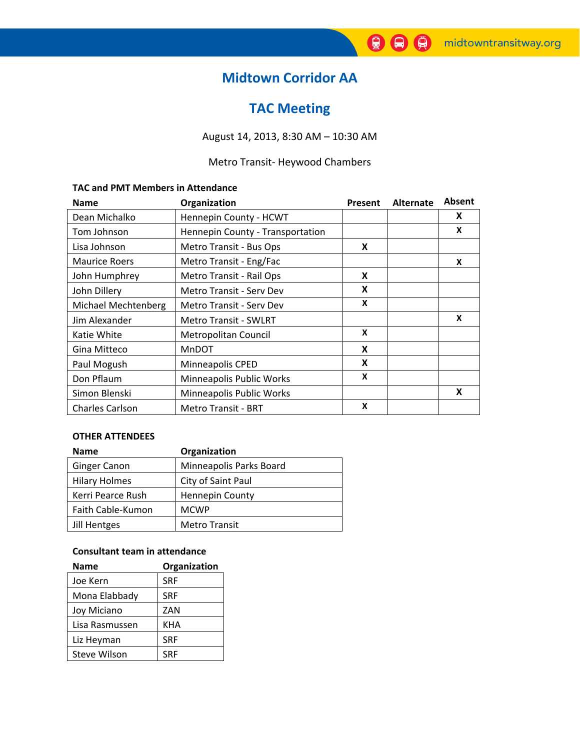# **Midtown Corridor AA**

# **TAC Meeting**

August 14, 2013, 8:30 AM – 10:30 AM

### Metro Transit‐ Heywood Chambers

#### **TAC and PMT Members in Attendance**

| <b>Name</b>            | Organization                     | Present | <b>Alternate</b> | <b>Absent</b> |
|------------------------|----------------------------------|---------|------------------|---------------|
| Dean Michalko          | Hennepin County - HCWT           |         |                  | X             |
| Tom Johnson            | Hennepin County - Transportation |         |                  | X             |
| Lisa Johnson           | Metro Transit - Bus Ops          | X       |                  |               |
| <b>Maurice Roers</b>   | Metro Transit - Eng/Fac          |         |                  | X             |
| John Humphrey          | Metro Transit - Rail Ops         | X       |                  |               |
| John Dillery           | Metro Transit - Serv Dev         | X       |                  |               |
| Michael Mechtenberg    | <b>Metro Transit - Serv Dev</b>  | X       |                  |               |
| Jim Alexander          | <b>Metro Transit - SWLRT</b>     |         |                  | X             |
| Katie White            | Metropolitan Council             | X       |                  |               |
| Gina Mitteco           | MnDOT                            | X       |                  |               |
| Paul Mogush            | Minneapolis CPED                 | X       |                  |               |
| Don Pflaum             | Minneapolis Public Works         | X       |                  |               |
| Simon Blenski          | Minneapolis Public Works         |         |                  | X             |
| <b>Charles Carlson</b> | <b>Metro Transit - BRT</b>       | X       |                  |               |

#### **OTHER ATTENDEES**

| <b>Name</b>          | Organization            |
|----------------------|-------------------------|
| <b>Ginger Canon</b>  | Minneapolis Parks Board |
| <b>Hilary Holmes</b> | City of Saint Paul      |
| Kerri Pearce Rush    | <b>Hennepin County</b>  |
| Faith Cable-Kumon    | <b>MCWP</b>             |
| Jill Hentges         | <b>Metro Transit</b>    |

#### **Consultant team in attendance**

| <b>Name</b>    | Organization |
|----------------|--------------|
| Joe Kern       | <b>SRF</b>   |
| Mona Elabbady  | <b>SRF</b>   |
| Joy Miciano    | ZAN          |
| Lisa Rasmussen | KHA          |
| Liz Heyman     | <b>SRF</b>   |
| Steve Wilson   | <b>SRF</b>   |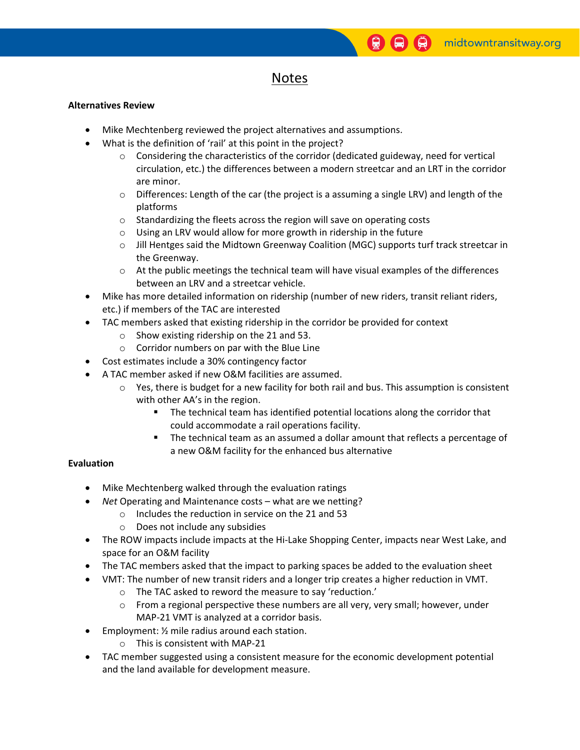## Notes

#### **Alternatives Review**

- Mike Mechtenberg reviewed the project alternatives and assumptions.
- What is the definition of 'rail' at this point in the project?
	- $\circ$  Considering the characteristics of the corridor (dedicated guideway, need for vertical circulation, etc.) the differences between a modern streetcar and an LRT in the corridor are minor.
	- $\circ$  Differences: Length of the car (the project is a assuming a single LRV) and length of the platforms
	- o Standardizing the fleets across the region will save on operating costs
	- o Using an LRV would allow for more growth in ridership in the future
	- o Jill Hentges said the Midtown Greenway Coalition (MGC) supports turf track streetcar in the Greenway.
	- $\circ$  At the public meetings the technical team will have visual examples of the differences between an LRV and a streetcar vehicle.
- Mike has more detailed information on ridership (number of new riders, transit reliant riders, etc.) if members of the TAC are interested
- TAC members asked that existing ridership in the corridor be provided for context
	- o Show existing ridership on the 21 and 53.
	- o Corridor numbers on par with the Blue Line
- Cost estimates include a 30% contingency factor
- A TAC member asked if new O&M facilities are assumed.
	- $\circ$  Yes, there is budget for a new facility for both rail and bus. This assumption is consistent with other AA's in the region.
		- The technical team has identified potential locations along the corridor that could accommodate a rail operations facility.
		- The technical team as an assumed a dollar amount that reflects a percentage of a new O&M facility for the enhanced bus alternative

### **Evaluation**

- Mike Mechtenberg walked through the evaluation ratings
- *Net* Operating and Maintenance costs what are we netting?
	- o Includes the reduction in service on the 21 and 53
	- o Does not include any subsidies
- The ROW impacts include impacts at the Hi-Lake Shopping Center, impacts near West Lake, and space for an O&M facility
- The TAC members asked that the impact to parking spaces be added to the evaluation sheet
- VMT: The number of new transit riders and a longer trip creates a higher reduction in VMT.
	- o The TAC asked to reword the measure to say 'reduction.'
	- $\circ$  From a regional perspective these numbers are all very, very small; however, under MAP‐21 VMT is analyzed at a corridor basis.
- Employment: ½ mile radius around each station.
	- o This is consistent with MAP‐21
- TAC member suggested using a consistent measure for the economic development potential and the land available for development measure.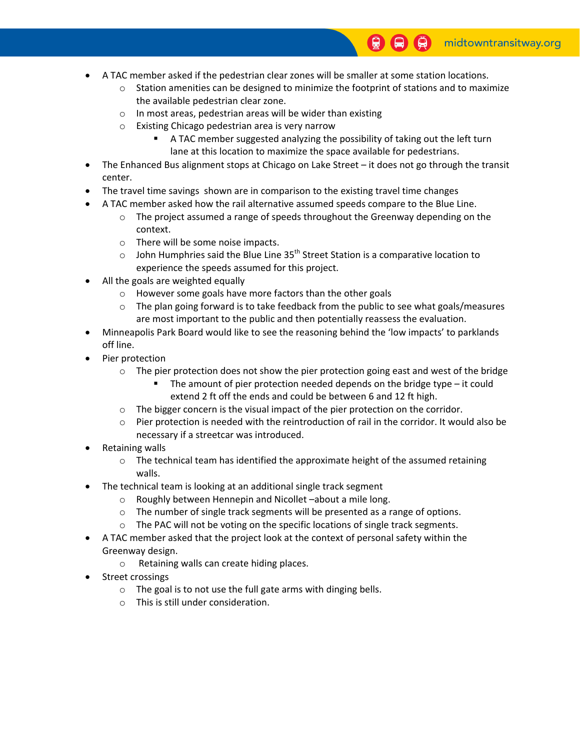- A TAC member asked if the pedestrian clear zones will be smaller at some station locations.
	- $\circ$  Station amenities can be designed to minimize the footprint of stations and to maximize the available pedestrian clear zone.
	- o In most areas, pedestrian areas will be wider than existing
	- o Existing Chicago pedestrian area is very narrow
		- A TAC member suggested analyzing the possibility of taking out the left turn lane at this location to maximize the space available for pedestrians.
- The Enhanced Bus alignment stops at Chicago on Lake Street it does not go through the transit center.
- The travel time savings shown are in comparison to the existing travel time changes
- A TAC member asked how the rail alternative assumed speeds compare to the Blue Line.
	- $\circ$  The project assumed a range of speeds throughout the Greenway depending on the context.
	- o There will be some noise impacts.
	- $\circ$  John Humphries said the Blue Line 35<sup>th</sup> Street Station is a comparative location to experience the speeds assumed for this project.
- All the goals are weighted equally
	- o However some goals have more factors than the other goals
	- $\circ$  The plan going forward is to take feedback from the public to see what goals/measures are most important to the public and then potentially reassess the evaluation.
- Minneapolis Park Board would like to see the reasoning behind the 'low impacts' to parklands off line.
- Pier protection
	- $\circ$  The pier protection does not show the pier protection going east and west of the bridge
		- The amount of pier protection needed depends on the bridge type it could extend 2 ft off the ends and could be between 6 and 12 ft high.
	- $\circ$  The bigger concern is the visual impact of the pier protection on the corridor.
	- $\circ$  Pier protection is needed with the reintroduction of rail in the corridor. It would also be necessary if a streetcar was introduced.
- Retaining walls
	- $\circ$  The technical team has identified the approximate height of the assumed retaining walls.
- The technical team is looking at an additional single track segment
	- o Roughly between Hennepin and Nicollet –about a mile long.
	- o The number of single track segments will be presented as a range of options.
	- o The PAC will not be voting on the specific locations of single track segments.
- A TAC member asked that the project look at the context of personal safety within the Greenway design.
	- o Retaining walls can create hiding places.
- Street crossings
	- o The goal is to not use the full gate arms with dinging bells.
	- o This is still under consideration.